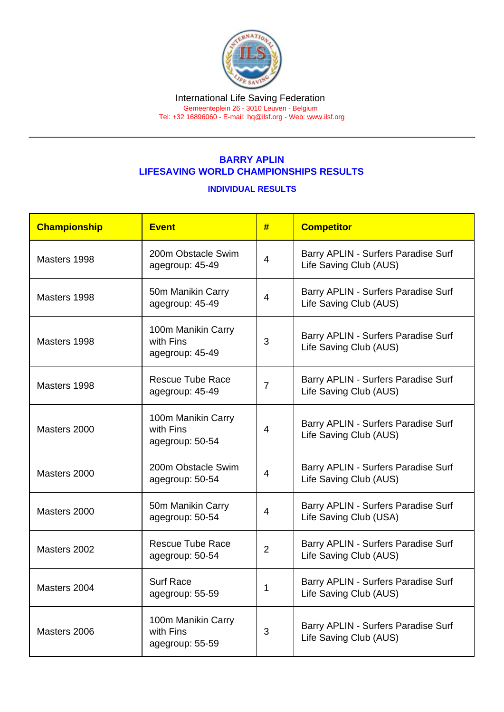#### International Life Saving Federation Gemeenteplein 26 - 3010 Leuven - Belgium

Tel: +32 16896060 - E-mail: [hq@ilsf.org](mailto:hq@ilsf.org) - Web: [www.ilsf.org](https://www.ilsf.org)

# BARRY APLIN LIFESAVING WORLD CHAMPIONSHIPS RESULTS

## INDIVIDUAL RESULTS

| Championship | <b>Event</b>                                       | #              | <b>Competitor</b>                                             |  |
|--------------|----------------------------------------------------|----------------|---------------------------------------------------------------|--|
| Masters 1998 | 200m Obstacle Swim<br>agegroup: 45-49              | $\overline{4}$ | Barry APLIN - Surfers Paradise Surf<br>Life Saving Club (AUS) |  |
| Masters 1998 | 50m Manikin Carry<br>agegroup: 45-49               | 4              | Barry APLIN - Surfers Paradise Surf<br>Life Saving Club (AUS) |  |
| Masters 1998 | 100m Manikin Carry<br>with Fins<br>agegroup: 45-49 | 3              | Barry APLIN - Surfers Paradise Surf<br>Life Saving Club (AUS) |  |
| Masters 1998 | <b>Rescue Tube Race</b><br>agegroup: 45-49         | $\overline{7}$ | Barry APLIN - Surfers Paradise Surf<br>Life Saving Club (AUS) |  |
| Masters 2000 | 100m Manikin Carry<br>with Fins<br>agegroup: 50-54 | 4              | Barry APLIN - Surfers Paradise Surf<br>Life Saving Club (AUS) |  |
| Masters 2000 | 200m Obstacle Swim<br>agegroup: 50-54              | 4              | Barry APLIN - Surfers Paradise Surf<br>Life Saving Club (AUS) |  |
| Masters 2000 | 50m Manikin Carry<br>agegroup: 50-54               | 4              | Barry APLIN - Surfers Paradise Surf<br>Life Saving Club (USA) |  |
| Masters 2002 | <b>Rescue Tube Race</b><br>agegroup: 50-54         | $\overline{2}$ | Barry APLIN - Surfers Paradise Surf<br>Life Saving Club (AUS) |  |
| Masters 2004 | <b>Surf Race</b><br>agegroup: 55-59                | 1              | Barry APLIN - Surfers Paradise Surf<br>Life Saving Club (AUS) |  |
| Masters 2006 | 100m Manikin Carry<br>with Fins<br>agegroup: 55-59 | 3              | Barry APLIN - Surfers Paradise Surf<br>Life Saving Club (AUS) |  |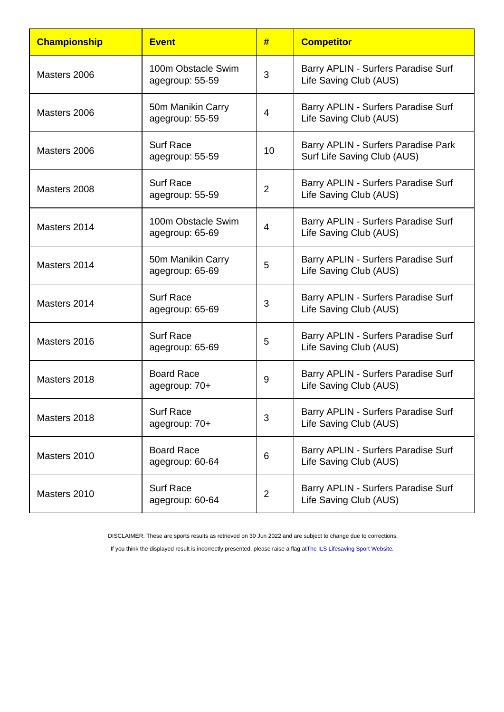| Championship | <b>Event</b>                          | #              | <b>Competitor</b>                                                  |  |
|--------------|---------------------------------------|----------------|--------------------------------------------------------------------|--|
| Masters 2006 | 100m Obstacle Swim<br>agegroup: 55-59 | 3              | Barry APLIN - Surfers Paradise Surf<br>Life Saving Club (AUS)      |  |
| Masters 2006 | 50m Manikin Carry<br>agegroup: 55-59  | 4              | Barry APLIN - Surfers Paradise Surf<br>Life Saving Club (AUS)      |  |
| Masters 2006 | <b>Surf Race</b><br>agegroup: 55-59   | 10             | Barry APLIN - Surfers Paradise Park<br>Surf Life Saving Club (AUS) |  |
| Masters 2008 | <b>Surf Race</b><br>agegroup: 55-59   | $\overline{2}$ | Barry APLIN - Surfers Paradise Surf<br>Life Saving Club (AUS)      |  |
| Masters 2014 | 100m Obstacle Swim<br>agegroup: 65-69 | 4              | Barry APLIN - Surfers Paradise Surf<br>Life Saving Club (AUS)      |  |
| Masters 2014 | 50m Manikin Carry<br>agegroup: 65-69  | 5              | Barry APLIN - Surfers Paradise Surf<br>Life Saving Club (AUS)      |  |
| Masters 2014 | <b>Surf Race</b><br>agegroup: 65-69   | 3              | Barry APLIN - Surfers Paradise Surf<br>Life Saving Club (AUS)      |  |
| Masters 2016 | <b>Surf Race</b><br>agegroup: 65-69   | 5              | Barry APLIN - Surfers Paradise Surf<br>Life Saving Club (AUS)      |  |
| Masters 2018 | <b>Board Race</b><br>agegroup: 70+    | 9              | Barry APLIN - Surfers Paradise Surf<br>Life Saving Club (AUS)      |  |
| Masters 2018 | <b>Surf Race</b><br>agegroup: 70+     | 3              | Barry APLIN - Surfers Paradise Surf<br>Life Saving Club (AUS)      |  |
| Masters 2010 | <b>Board Race</b><br>agegroup: 60-64  | 6              | Barry APLIN - Surfers Paradise Surf<br>Life Saving Club (AUS)      |  |
| Masters 2010 | <b>Surf Race</b><br>agegroup: 60-64   | $\overline{2}$ | Barry APLIN - Surfers Paradise Surf<br>Life Saving Club (AUS)      |  |

DISCLAIMER: These are sports results as retrieved on 30 Jun 2022 and are subject to change due to corrections.

If you think the displayed result is incorrectly presented, please raise a flag at [The ILS Lifesaving Sport Website.](https://sport.ilsf.org)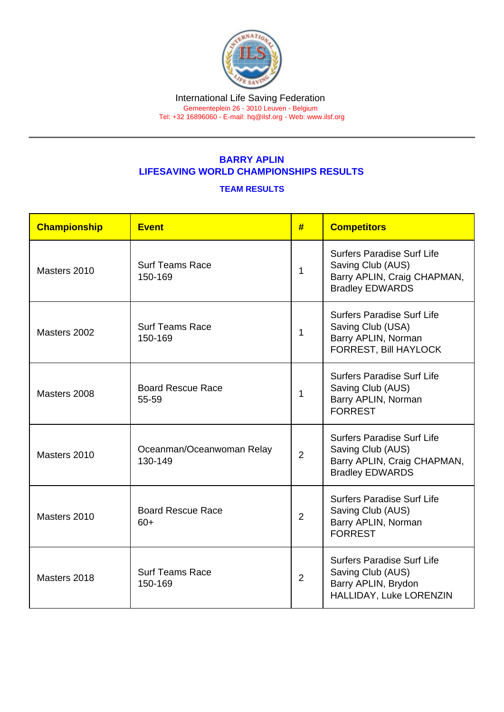### International Life Saving Federation Gemeenteplein 26 - 3010 Leuven - Belgium

Tel: +32 16896060 - E-mail: [hq@ilsf.org](mailto:hq@ilsf.org) - Web: [www.ilsf.org](https://www.ilsf.org)

# BARRY APLIN LIFESAVING WORLD CHAMPIONSHIPS RESULTS

## TEAM RESULTS

| Championship | Event                                | #              | <b>Competitors</b>                                                                                              |
|--------------|--------------------------------------|----------------|-----------------------------------------------------------------------------------------------------------------|
| Masters 2010 | <b>Surf Teams Race</b><br>150-169    | 1              | <b>Surfers Paradise Surf Life</b><br>Saving Club (AUS)<br>Barry APLIN, Craig CHAPMAN,<br><b>Bradley EDWARDS</b> |
| Masters 2002 | <b>Surf Teams Race</b><br>150-169    | $\mathbf 1$    | <b>Surfers Paradise Surf Life</b><br>Saving Club (USA)<br>Barry APLIN, Norman<br><b>FORREST, Bill HAYLOCK</b>   |
| Masters 2008 | <b>Board Rescue Race</b><br>55-59    | 1              | <b>Surfers Paradise Surf Life</b><br>Saving Club (AUS)<br>Barry APLIN, Norman<br><b>FORREST</b>                 |
| Masters 2010 | Oceanman/Oceanwoman Relay<br>130-149 | $\overline{2}$ | <b>Surfers Paradise Surf Life</b><br>Saving Club (AUS)<br>Barry APLIN, Craig CHAPMAN,<br><b>Bradley EDWARDS</b> |
| Masters 2010 | <b>Board Rescue Race</b><br>$60+$    | 2              | <b>Surfers Paradise Surf Life</b><br>Saving Club (AUS)<br>Barry APLIN, Norman<br><b>FORREST</b>                 |
| Masters 2018 | <b>Surf Teams Race</b><br>150-169    | $\overline{2}$ | <b>Surfers Paradise Surf Life</b><br>Saving Club (AUS)<br>Barry APLIN, Brydon<br>HALLIDAY, Luke LORENZIN        |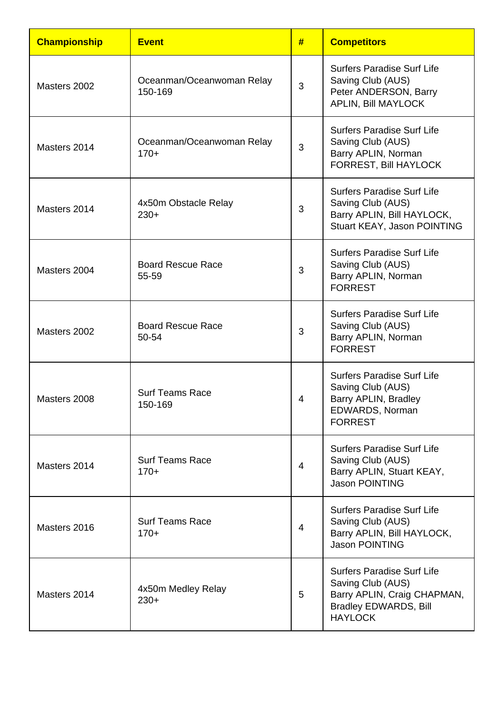| <b>Championship</b> | <b>Event</b>                         | #              | <b>Competitors</b>                                                                                                                      |
|---------------------|--------------------------------------|----------------|-----------------------------------------------------------------------------------------------------------------------------------------|
| Masters 2002        | Oceanman/Oceanwoman Relay<br>150-169 | 3              | <b>Surfers Paradise Surf Life</b><br>Saving Club (AUS)<br>Peter ANDERSON, Barry<br><b>APLIN, Bill MAYLOCK</b>                           |
| Masters 2014        | Oceanman/Oceanwoman Relay<br>$170+$  | 3              | <b>Surfers Paradise Surf Life</b><br>Saving Club (AUS)<br>Barry APLIN, Norman<br>FORREST, Bill HAYLOCK                                  |
| Masters 2014        | 4x50m Obstacle Relay<br>$230+$       | 3              | <b>Surfers Paradise Surf Life</b><br>Saving Club (AUS)<br>Barry APLIN, Bill HAYLOCK,<br>Stuart KEAY, Jason POINTING                     |
| Masters 2004        | <b>Board Rescue Race</b><br>55-59    | 3              | <b>Surfers Paradise Surf Life</b><br>Saving Club (AUS)<br>Barry APLIN, Norman<br><b>FORREST</b>                                         |
| Masters 2002        | <b>Board Rescue Race</b><br>50-54    | 3              | <b>Surfers Paradise Surf Life</b><br>Saving Club (AUS)<br>Barry APLIN, Norman<br><b>FORREST</b>                                         |
| Masters 2008        | <b>Surf Teams Race</b><br>150-169    | 4              | <b>Surfers Paradise Surf Life</b><br>Saving Club (AUS)<br>Barry APLIN, Bradley<br>EDWARDS, Norman<br><b>FORREST</b>                     |
| Masters 2014        | <b>Surf Teams Race</b><br>$170+$     | $\overline{4}$ | <b>Surfers Paradise Surf Life</b><br>Saving Club (AUS)<br>Barry APLIN, Stuart KEAY,<br><b>Jason POINTING</b>                            |
| Masters 2016        | <b>Surf Teams Race</b><br>$170+$     | 4              | <b>Surfers Paradise Surf Life</b><br>Saving Club (AUS)<br>Barry APLIN, Bill HAYLOCK,<br><b>Jason POINTING</b>                           |
| Masters 2014        | 4x50m Medley Relay<br>$230+$         | 5              | <b>Surfers Paradise Surf Life</b><br>Saving Club (AUS)<br>Barry APLIN, Craig CHAPMAN,<br><b>Bradley EDWARDS, Bill</b><br><b>HAYLOCK</b> |